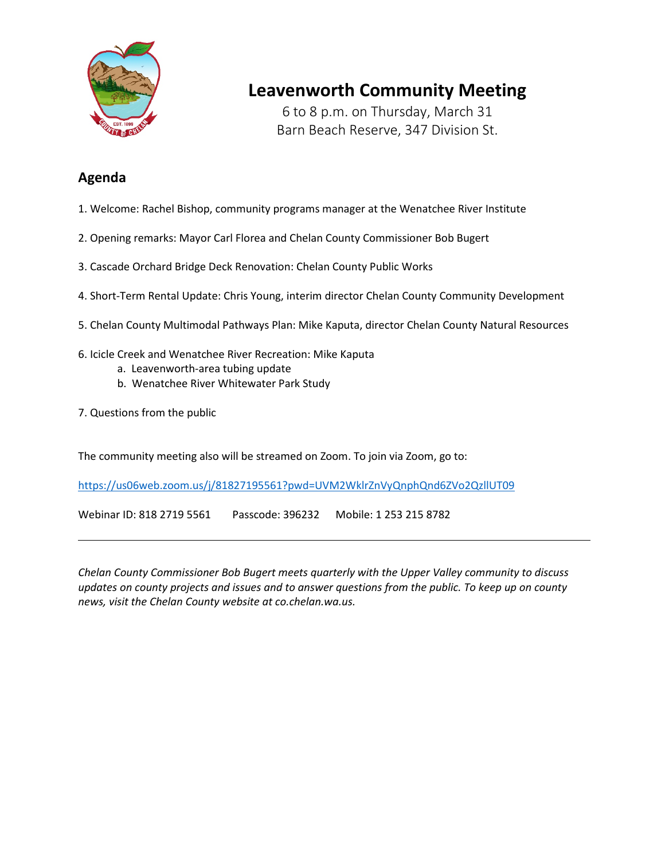

## **Leavenworth Community Meeting**

6 to 8 p.m. on Thursday, March 31 Barn Beach Reserve, 347 Division St.

## **Agenda**

- 1. Welcome: Rachel Bishop, community programs manager at the Wenatchee River Institute
- 2. Opening remarks: Mayor Carl Florea and Chelan County Commissioner Bob Bugert
- 3. Cascade Orchard Bridge Deck Renovation: Chelan County Public Works
- 4. Short-Term Rental Update: Chris Young, interim director Chelan County Community Development
- 5. Chelan County Multimodal Pathways Plan: Mike Kaputa, director Chelan County Natural Resources
- 6. Icicle Creek and Wenatchee River Recreation: Mike Kaputa
	- a. Leavenworth-area tubing update
	- b. Wenatchee River Whitewater Park Study
- 7. Questions from the public

The community meeting also will be streamed on Zoom. To join via Zoom, go to:

<https://us06web.zoom.us/j/81827195561?pwd=UVM2WklrZnVyQnphQnd6ZVo2QzllUT09>

Webinar ID: 818 2719 5561 Passcode: 396232 Mobile: 1 253 215 8782

*Chelan County Commissioner Bob Bugert meets quarterly with the Upper Valley community to discuss updates on county projects and issues and to answer questions from the public. To keep up on county news, visit the Chelan County website at co.chelan.wa.us.*